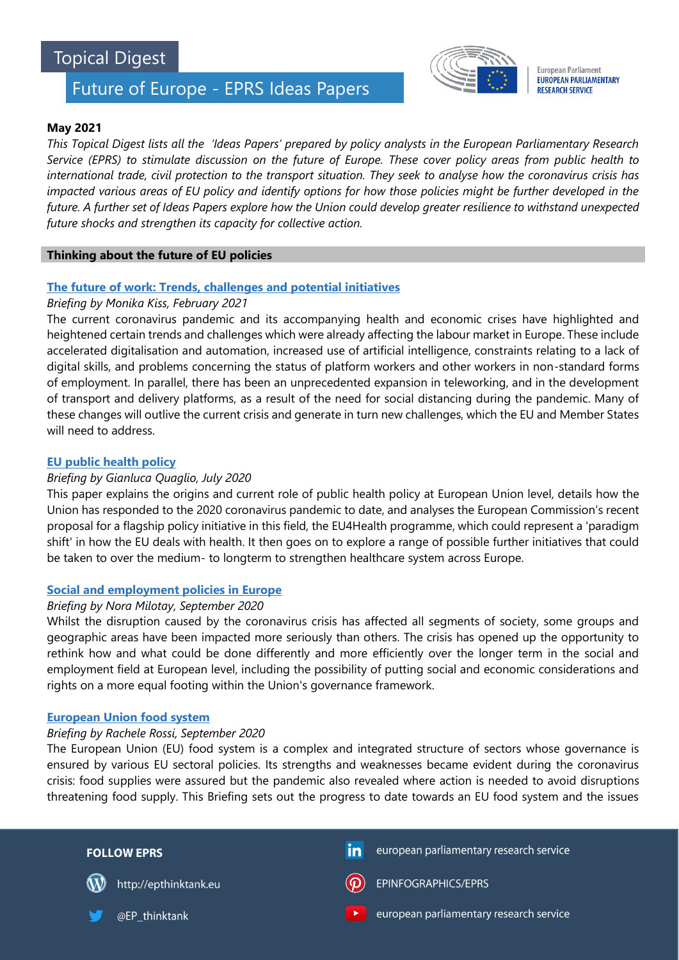# Topical Digest

# Future of Europe - EPRS Ideas Papers



**European Parliament EUROPEAN PARLIAMENTARY RESEARCH SERVICE** 

# **May 2021**

*This Topical Digest lists all the 'Ideas Papers' prepared by policy analysts in the European Parliamentary Research Service (EPRS) to stimulate discussion on the future of Europe. These cover policy areas from public health to international trade, civil protection to the transport situation. They seek to analyse how the coronavirus crisis has impacted various areas of EU policy and identify options for how those policies might be further developed in the future. A further set of Ideas Papers explore how the Union could develop greater resilience to withstand unexpected future shocks and strengthen its capacity for collective action.*

## **Thinking about the future of EU policies**

# **[The future of work: Trends, challenges and potential initiatives](https://www.europarl.europa.eu/thinktank/en/document.html?reference=EPRS_BRI(2021)679097)**

# *Briefing by Monika Kiss, February 2021*

The current coronavirus pandemic and its accompanying health and economic crises have highlighted and heightened certain trends and challenges which were already affecting the labour market in Europe. These include accelerated digitalisation and automation, increased use of artificial intelligence, constraints relating to a lack of digital skills, and problems concerning the status of platform workers and other workers in non-standard forms of employment. In parallel, there has been an unprecedented expansion in teleworking, and in the development of transport and delivery platforms, as a result of the need for social distancing during the pandemic. Many of these changes will outlive the current crisis and generate in turn new challenges, which the EU and Member States will need to address.

# **[EU public health](https://www.europarl.europa.eu/RegData/etudes/BRIE/2020/652027/EPRS_BRI(2020)652027_EN.pdf) policy**

## *Briefing by Gianluca Quaglio, July 2020*

This paper explains the origins and current role of public health policy at European Union level, details how the Union has responded to the 2020 coronavirus pandemic to date, and analyses the European Commission's recent proposal for a flagship policy initiative in this field, the EU4Health programme, which could represent a 'paradigm shift' in how the EU deals with health. It then goes on to explore a range of possible further initiatives that could be taken to over the medium- to longterm to strengthen healthcare system across Europe.

#### **[Social and employment policies in Europe](https://www.europarl.europa.eu/RegData/etudes/BRIE/2020/652057/EPRS_BRI(2020)652057_EN.pdf)**

# *[Briefing by Nora Milotay,](https://www.europarl.europa.eu/RegData/etudes/BRIE/2020/652057/EPRS_BRI(2020)652057_EN.pdf) September 2020*

Whilst the disruption caused by the coronavirus crisis has affected all segments of society, some groups and geographic areas have been impacted more seriously than others. The crisis has opened up the opportunity to rethink how and what could be done differently and more efficiently over the longer term in the social and employment field at European level, including the possibility of putting social and economic considerations and rights on a more equal footing within the Union's governance framework.

#### **[European Union food system](https://www.europarl.europa.eu/RegData/etudes/BRIE/2020/652058/EPRS_BRI(2020)652058_EN.pdf)**

#### *Briefing by Rachele Rossi, September 2020*

The European Union (EU) food system is a complex and integrated structure of sectors whose governance is ensured by various EU sectoral policies. Its strengths and weaknesses became evident during the coronavirus crisis: food supplies were assured but the pandemic also revealed where action is needed to avoid disruptions threatening food supply. This Briefing sets out the progress to date towards an EU food system and the issues

| <b>FOLLOW EPRS</b>         | $\mathsf{in}$<br>european parliamentary research service         |
|----------------------------|------------------------------------------------------------------|
| http://epthinktank.eu<br>W | EPINFOGRAPHICS/EPRS<br>$\left( $                                 |
| @EP thinktank              | european parliamentary research service<br>$\blacktriangleright$ |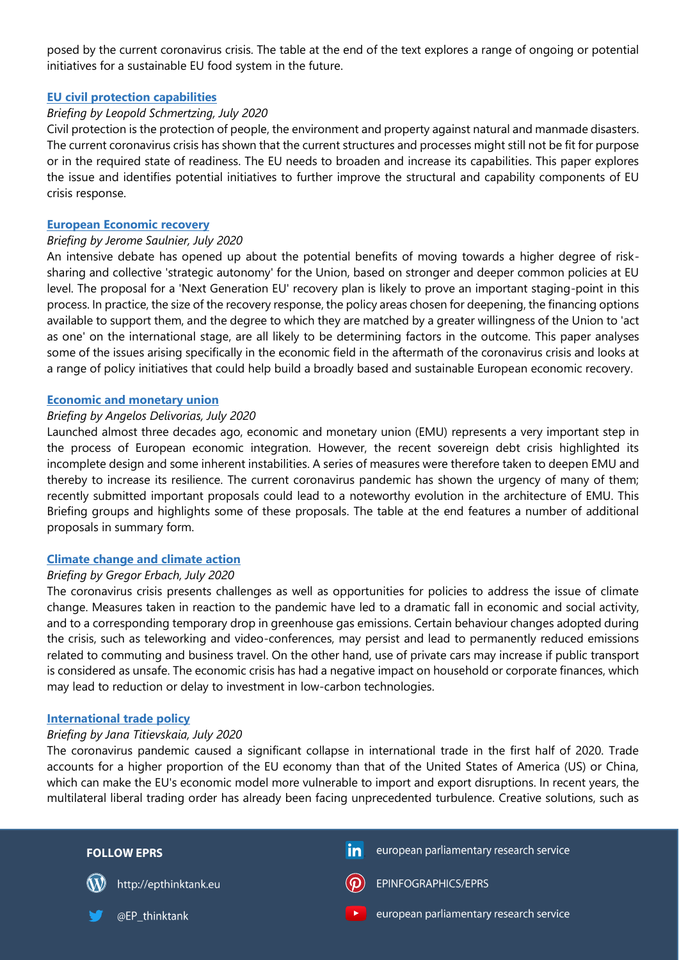posed by the current coronavirus crisis. The table at the end of the text explores a range of ongoing or potential initiatives for a sustainable EU food system in the future.

## **[EU civil protection capabilities](https://www.europarl.europa.eu/RegData/etudes/BRIE/2020/652031/EPRS_BRI(2020)652031_EN.pdf)**

## *Briefing by Leopold Schmertzing, July 2020*

Civil protection is the protection of people, the environment and property against natural and manmade disasters. The current coronavirus crisis has shown that the current structures and processes might still not be fit for purpose or in the required state of readiness. The EU needs to broaden and increase its capabilities. This paper explores the issue and identifies potential initiatives to further improve the structural and capability components of EU crisis response.

#### **[European Economic recovery](https://www.europarl.europa.eu/RegData/etudes/BRIE/2020/651995/EPRS_BRI(2020)651995_EN.pdf)**

## *Briefing by Jerome Saulnier, July 2020*

An intensive debate has opened up about the potential benefits of moving towards a higher degree of risksharing and collective 'strategic autonomy' for the Union, based on stronger and deeper common policies at EU level. The proposal for a 'Next Generation EU' recovery plan is likely to prove an important staging-point in this process. In practice, the size of the recovery response, the policy areas chosen for deepening, the financing options available to support them, and the degree to which they are matched by a greater willingness of the Union to 'act as one' on the international stage, are all likely to be determining factors in the outcome. This paper analyses some of the issues arising specifically in the economic field in the aftermath of the coronavirus crisis and looks at a range of policy initiatives that could help build a broadly based and sustainable European economic recovery.

## **[Economic and monetary union](https://www.europarl.europa.eu/RegData/etudes/BRIE/2020/651994/EPRS_BRI(2020)651994_EN.pdf)**

## *Briefing by Angelos Delivorias, July 2020*

Launched almost three decades ago, economic and monetary union (EMU) represents a very important step in the process of European economic integration. However, the recent sovereign debt crisis highlighted its incomplete design and some inherent instabilities. A series of measures were therefore taken to deepen EMU and thereby to increase its resilience. The current coronavirus pandemic has shown the urgency of many of them; recently submitted important proposals could lead to a noteworthy evolution in the architecture of EMU. This Briefing groups and highlights some of these proposals. The table at the end features a number of additional proposals in summary form.

# **[Climate change and climate action](https://www.europarl.europa.eu/RegData/etudes/BRIE/2020/652032/EPRS_BRI(2020)652032_EN.pdf)**

#### *Briefing by Gregor Erbach, July 2020*

The coronavirus crisis presents challenges as well as opportunities for policies to address the issue of climate change. Measures taken in reaction to the pandemic have led to a dramatic fall in economic and social activity, and to a corresponding temporary drop in greenhouse gas emissions. Certain behaviour changes adopted during the crisis, such as teleworking and video-conferences, may persist and lead to permanently reduced emissions related to commuting and business travel. On the other hand, use of private cars may increase if public transport is considered as unsafe. The economic crisis has had a negative impact on household or corporate finances, which may lead to reduction or delay to investment in low-carbon technologies.

#### **[International trade policy](https://www.europarl.europa.eu/RegData/etudes/BRIE/2020/652033/EPRS_BRI(2020)652033_EN.pdf)**

#### *Briefing by Jana Titievskaia, July 2020*

The coronavirus pandemic caused a significant collapse in international trade in the first half of 2020. Trade accounts for a higher proportion of the EU economy than that of the United States of America (US) or China, which can make the EU's economic model more vulnerable to import and export disruptions. In recent years, the multilateral liberal trading order has already been facing unprecedented turbulence. Creative solutions, such as

| <b>FOLLOW EPRS</b>    | european parliamentary research service<br>in |
|-----------------------|-----------------------------------------------|
| http://epthinktank.eu | $\left(\bigcirc\right)$ EPINFOGRAPHICS/EPRS   |
| @EP_thinktank         | european parliamentary research service       |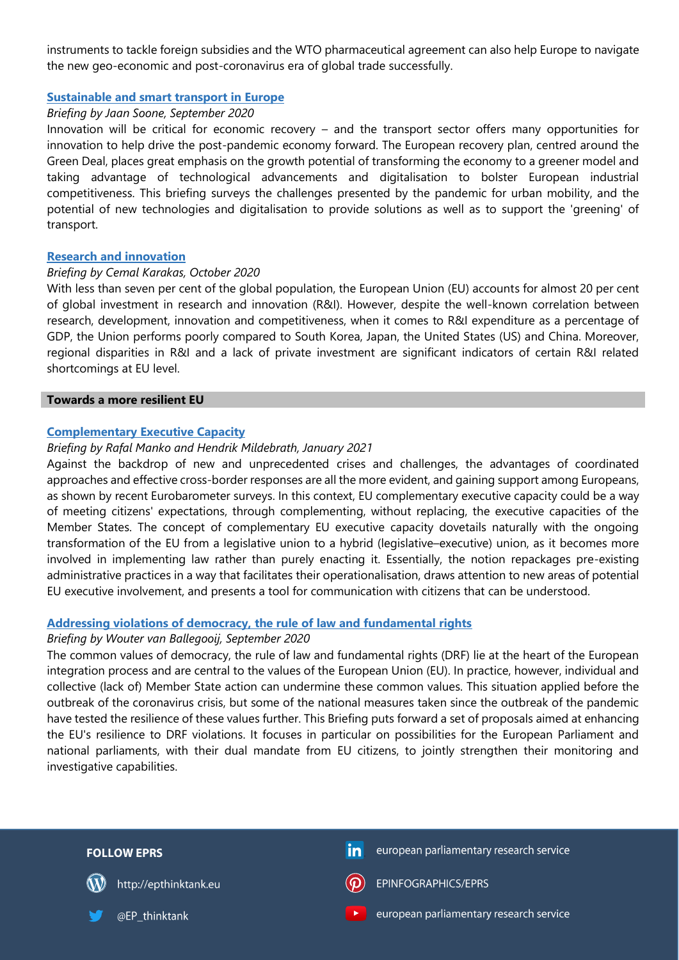instruments to tackle foreign subsidies and the WTO pharmaceutical agreement can also help Europe to navigate the new geo-economic and post-coronavirus era of global trade successfully.

## **[Sustainable and smart transport in Europe](https://www.europarl.europa.eu/RegData/etudes/BRIE/2020/652059/EPRS_BRI(2020)652059_EN.pdf)**

# *Briefing by Jaan Soone, September 2020*

Innovation will be critical for economic recovery – and the transport sector offers many opportunities for innovation to help drive the post-pandemic economy forward. The European recovery plan, centred around the Green Deal, places great emphasis on the growth potential of transforming the economy to a greener model and taking advantage of technological advancements and digitalisation to bolster European industrial competitiveness. This briefing surveys the challenges presented by the pandemic for urban mobility, and the potential of new technologies and digitalisation to provide solutions as well as to support the 'greening' of transport.

## **[Research and innovation](https://www.europarl.europa.eu/RegData/etudes/BRIE/2020/659417/EPRS_BRI(2020)659417_EN.pdf)**

#### *Briefing by Cemal Karakas, October 2020*

With less than seven per cent of the global population, the European Union (EU) accounts for almost 20 per cent of global investment in research and innovation (R&I). However, despite the well-known correlation between research, development, innovation and competitiveness, when it comes to R&I expenditure as a percentage of GDP, the Union performs poorly compared to South Korea, Japan, the United States (US) and China. Moreover, regional disparities in R&I and a lack of private investment are significant indicators of certain R&I related shortcomings at EU level.

#### **Towards a more resilient EU**

#### **[Complementary Executive Capacity](https://www.europarl.europa.eu/thinktank/en/document.html?reference=EPRS_BRI(2021)679098)**

#### *Briefing by Rafal Manko and Hendrik Mildebrath, January 2021*

Against the backdrop of new and unprecedented crises and challenges, the advantages of coordinated approaches and effective cross-border responses are all the more evident, and gaining support among Europeans, as shown by recent Eurobarometer surveys. In this context, EU complementary executive capacity could be a way of meeting citizens' expectations, through complementing, without replacing, the executive capacities of the Member States. The concept of complementary EU executive capacity dovetails naturally with the ongoing transformation of the EU from a legislative union to a hybrid (legislative–executive) union, as it becomes more involved in implementing law rather than purely enacting it. Essentially, the notion repackages pre-existing administrative practices in a way that facilitates their operationalisation, draws attention to new areas of potential EU executive involvement, and presents a tool for communication with citizens that can be understood.

# **[Addressing violations of democracy, the rule of law and fundamental rights](https://www.europarl.europa.eu/RegData/etudes/BRIE/2020/652070/EPRS_BRI(2020)652070_EN.pdf)**

#### *Briefing by Wouter van Ballegooij, September 2020*

The common values of democracy, the rule of law and fundamental rights (DRF) lie at the heart of the European integration process and are central to the values of the European Union (EU). In practice, however, individual and collective (lack of) Member State action can undermine these common values. This situation applied before the outbreak of the coronavirus crisis, but some of the national measures taken since the outbreak of the pandemic have tested the resilience of these values further. This Briefing puts forward a set of proposals aimed at enhancing the EU's resilience to DRF violations. It focuses in particular on possibilities for the European Parliament and national parliaments, with their dual mandate from EU citizens, to jointly strengthen their monitoring and investigative capabilities.

| <b>FOLLOW EPRS</b>    | european parliamentary research service<br>$\mathsf{in}^!$       |
|-----------------------|------------------------------------------------------------------|
| http://epthinktank.eu | EPINFOGRAPHICS/EPRS<br>$\mathbf{D}$                              |
| @EP_thinktank         | european parliamentary research service<br>$\blacktriangleright$ |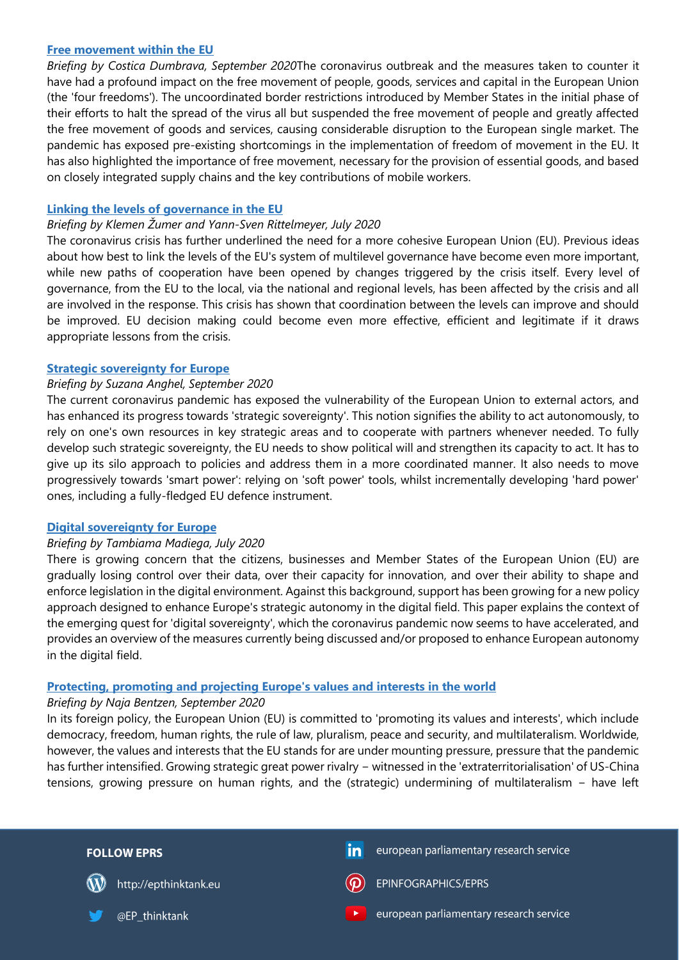#### **[Free movement within the EU](https://www.europarl.europa.eu/RegData/etudes/BRIE/2020/652062/EPRS_BRI(2020)652062_EN.pdf)**

*Briefing by Costica Dumbrava, September 2020*The coronavirus outbreak and the measures taken to counter it have had a profound impact on the free movement of people, goods, services and capital in the European Union (the 'four freedoms'). The uncoordinated border restrictions introduced by Member States in the initial phase of their efforts to halt the spread of the virus all but suspended the free movement of people and greatly affected the free movement of goods and services, causing considerable disruption to the European single market. The pandemic has exposed pre-existing shortcomings in the implementation of freedom of movement in the EU. It has also highlighted the importance of free movement, necessary for the provision of essential goods, and based on closely integrated supply chains and the key contributions of mobile workers.

#### **[Linking the levels of governance in the EU](https://www.europarl.europa.eu/RegData/etudes/BRIE/2020/652034/EPRS_BRI(2020)652034_EN.pdf)**

#### *Briefing by Klemen Žumer and Yann-Sven Rittelmeyer, July 2020*

The coronavirus crisis has further underlined the need for a more cohesive European Union (EU). Previous ideas about how best to link the levels of the EU's system of multilevel governance have become even more important, while new paths of cooperation have been opened by changes triggered by the crisis itself. Every level of governance, from the EU to the local, via the national and regional levels, has been affected by the crisis and all are involved in the response. This crisis has shown that coordination between the levels can improve and should be improved. EU decision making could become even more effective, efficient and legitimate if it draws appropriate lessons from the crisis.

## **[Strategic sovereignty for Europe](https://www.europarl.europa.eu/RegData/etudes/BRIE/2020/652069/EPRS_BRI(2020)652069_EN.pdf)**

## *Briefing by Suzana Anghel, September 2020*

The current coronavirus pandemic has exposed the vulnerability of the European Union to external actors, and has enhanced its progress towards 'strategic sovereignty'. This notion signifies the ability to act autonomously, to rely on one's own resources in key strategic areas and to cooperate with partners whenever needed. To fully develop such strategic sovereignty, the EU needs to show political will and strengthen its capacity to act. It has to give up its silo approach to policies and address them in a more coordinated manner. It also needs to move progressively towards 'smart power': relying on 'soft power' tools, whilst incrementally developing 'hard power' ones, including a fully-fledged EU defence instrument.

#### **[Digital sovereignty for Europe](https://www.europarl.europa.eu/RegData/etudes/BRIE/2020/651992/EPRS_BRI(2020)651992_EN.pdf)**

#### *Briefing by Tambiama Madiega, July 2020*

There is growing concern that the citizens, businesses and Member States of the European Union (EU) are gradually losing control over their data, over their capacity for innovation, and over their ability to shape and enforce legislation in the digital environment. Against this background, support has been growing for a new policy approach designed to enhance Europe's strategic autonomy in the digital field. This paper explains the context of the emerging quest for 'digital sovereignty', which the coronavirus pandemic now seems to have accelerated, and provides an overview of the measures currently being discussed and/or proposed to enhance European autonomy in the digital field.

# **[Protecting, promoting and projecting Europe's values and interests in the world](https://www.europarl.europa.eu/RegData/etudes/BRIE/2020/652061/EPRS_BRI(2020)652061_EN.pdf)**

#### *Briefing by Naja Bentzen, September 2020*

In its foreign policy, the European Union (EU) is committed to 'promoting its values and interests', which include democracy, freedom, human rights, the rule of law, pluralism, peace and security, and multilateralism. Worldwide, however, the values and interests that the EU stands for are under mounting pressure, pressure that the pandemic has further intensified. Growing strategic great power rivalry − witnessed in the 'extraterritorialisation' of US-China tensions, growing pressure on human rights, and the (strategic) undermining of multilateralism − have left